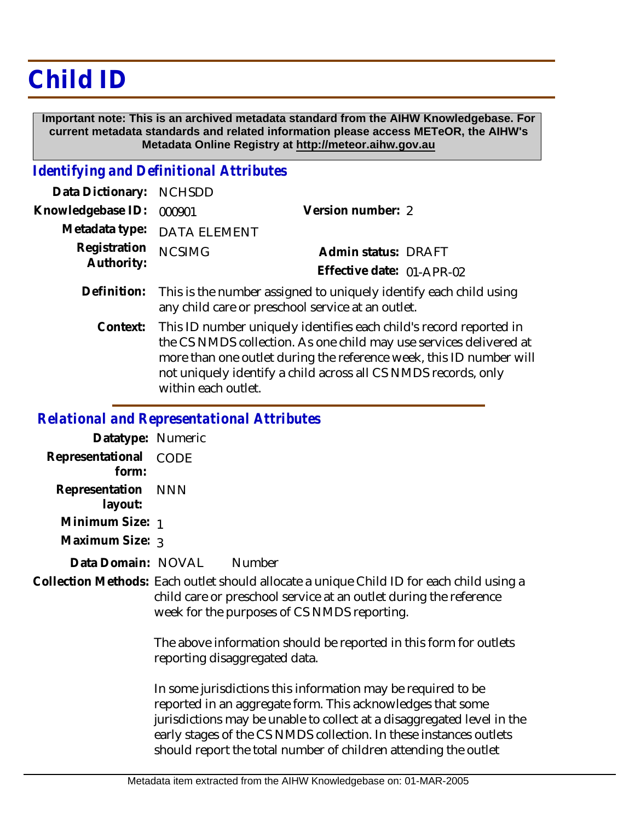## **Child ID**

 **Important note: This is an archived metadata standard from the AIHW Knowledgebase. For current metadata standards and related information please access METeOR, the AIHW's Metadata Online Registry at http://meteor.aihw.gov.au**

## *Identifying and Definitional Attributes*

| Data Dictionary: NCHSDD  |                             |                           |  |
|--------------------------|-----------------------------|---------------------------|--|
| Knowledgebase ID: 000901 |                             | Version number: 2         |  |
|                          | Metadata type: DATA ELEMENT |                           |  |
| Registration NCSIMG      |                             | Admin status: DRAFT       |  |
| Authority:               |                             | Effective date: 01-APR-02 |  |
|                          |                             |                           |  |

- Definition: This is the number assigned to uniquely identify each child using any child care or preschool service at an outlet.
	- This ID number uniquely identifies each child's record reported in the CS NMDS collection. As one child may use services delivered at more than one outlet during the reference week, this ID number will not uniquely identify a child across all CS NMDS records, only within each outlet. **Context:**

## *Relational and Representational Attributes*

**Datatype:** Numeric **Representational** CODE  **form: Representation** NNN  **layout: Minimum Size:** 1 **Maximum Size:** 3 Data Domain: NOVAL Number

Collection Methods: Each outlet should allocate a unique Child ID for each child using a child care or preschool service at an outlet during the reference week for the purposes of CS NMDS reporting.

> The above information should be reported in this form for outlets reporting disaggregated data.

In some jurisdictions this information may be required to be reported in an aggregate form. This acknowledges that some jurisdictions may be unable to collect at a disaggregated level in the early stages of the CS NMDS collection. In these instances outlets should report the total number of children attending the outlet